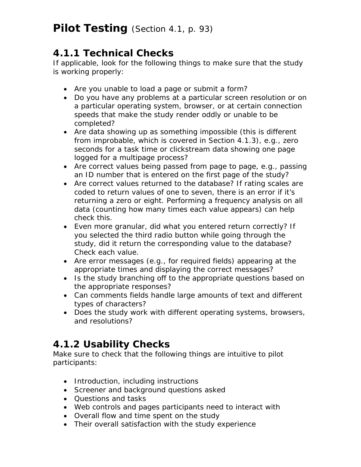### **4.1.1 Technical Checks**

If applicable, look for the following things to make sure that the study is working properly:

- Are you unable to load a page or submit a form?
- Do you have any problems at a particular screen resolution or on a particular operating system, browser, or at certain connection speeds that make the study render oddly or unable to be completed?
- Are data showing up as something impossible (this is different from improbable, which is covered in Section 4.1.3), e.g., zero seconds for a task time or clickstream data showing one page logged for a multipage process?
- Are correct values being passed from page to page, e.g., passing an ID number that is entered on the first page of the study?
- Are correct values returned to the database? If rating scales are coded to return values of one to seven, there is an error if it's returning a zero or eight. Performing a frequency analysis on all data (counting how many times each value appears) can help check this.
- Even more granular, did what you entered return correctly? If you selected the third radio button while going through the study, did it return the corresponding value to the database? Check each value.
- Are error messages (e.g., for required fields) appearing at the appropriate times and displaying the correct messages?
- Is the study branching off to the appropriate questions based on the appropriate responses?
- Can comments fields handle large amounts of text and different types of characters?
- Does the study work with different operating systems, browsers, and resolutions?

# **4.1.2 Usability Checks**

Make sure to check that the following things are intuitive to pilot participants:

- Introduction, including instructions
- Screener and background questions asked
- Questions and tasks
- Web controls and pages participants need to interact with
- Overall flow and time spent on the study
- Their overall satisfaction with the study experience